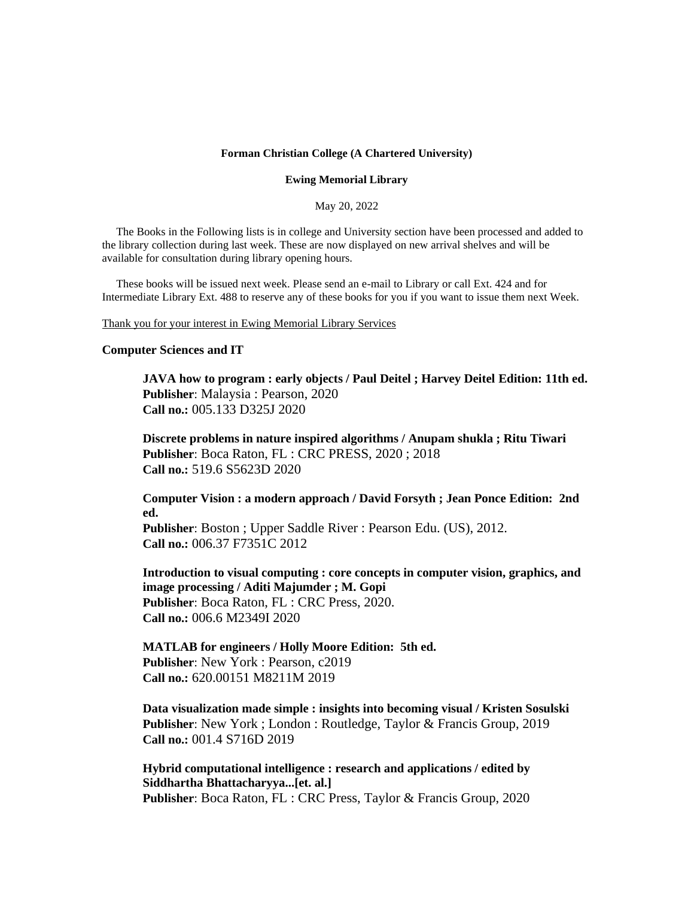#### **Forman Christian College (A Chartered University)**

#### **Ewing Memorial Library**

May 20, 2022

 The Books in the Following lists is in college and University section have been processed and added to the library collection during last week. These are now displayed on new arrival shelves and will be available for consultation during library opening hours.

 These books will be issued next week. Please send an e-mail to Library or call Ext. 424 and for Intermediate Library Ext. 488 to reserve any of these books for you if you want to issue them next Week.

Thank you for your interest in Ewing Memorial Library Services

#### **Computer Sciences and IT**

**JAVA how to program : early objects / Paul Deitel ; Harvey Deitel Edition: 11th ed. Publisher**: Malaysia : Pearson, 2020 **Call no.:** 005.133 D325J 2020

**Discrete problems in nature inspired algorithms / Anupam shukla ; Ritu Tiwari Publisher**: Boca Raton, FL : CRC PRESS, 2020 ; 2018 **Call no.:** 519.6 S5623D 2020

**Computer Vision : a modern approach / David Forsyth ; Jean Ponce Edition: 2nd ed.**

**Publisher**: Boston ; Upper Saddle River : Pearson Edu. (US), 2012. **Call no.:** 006.37 F7351C 2012

**Introduction to visual computing : core concepts in computer vision, graphics, and image processing / Aditi Majumder ; M. Gopi Publisher**: Boca Raton, FL : CRC Press, 2020. **Call no.:** 006.6 M2349I 2020

**MATLAB for engineers / Holly Moore Edition: 5th ed. Publisher**: New York : Pearson, c2019 **Call no.:** 620.00151 M8211M 2019

**Data visualization made simple : insights into becoming visual / Kristen Sosulski Publisher**: New York ; London : Routledge, Taylor & Francis Group, 2019 **Call no.:** 001.4 S716D 2019

**Hybrid computational intelligence : research and applications / edited by Siddhartha Bhattacharyya...[et. al.] Publisher**: Boca Raton, FL : CRC Press, Taylor & Francis Group, 2020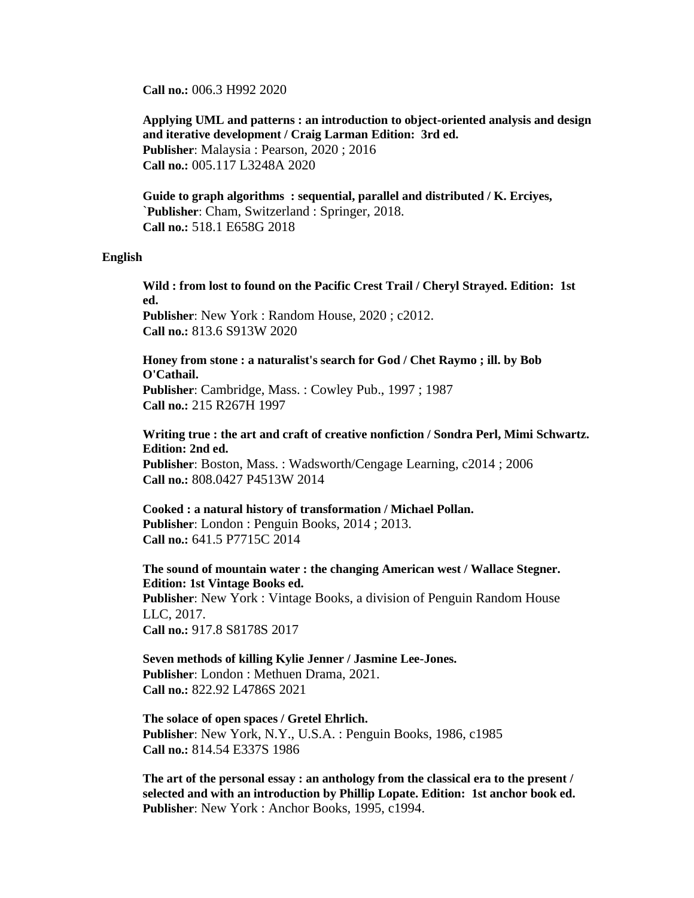**Call no.:** 006.3 H992 2020

**Applying UML and patterns : an introduction to object-oriented analysis and design and iterative development / Craig Larman Edition: 3rd ed. Publisher**: Malaysia : Pearson, 2020 ; 2016 **Call no.:** 005.117 L3248A 2020

**Guide to graph algorithms : sequential, parallel and distributed / K. Erciyes,** `**Publisher**: Cham, Switzerland : Springer, 2018. **Call no.:** 518.1 E658G 2018

### **English**

**Wild : from lost to found on the Pacific Crest Trail / Cheryl Strayed. Edition: 1st ed. Publisher**: New York : Random House, 2020 ; c2012. **Call no.:** 813.6 S913W 2020

**Honey from stone : a naturalist's search for God / Chet Raymo ; ill. by Bob O'Cathail. Publisher**: Cambridge, Mass. : Cowley Pub., 1997 ; 1987 **Call no.:** 215 R267H 1997

**Writing true : the art and craft of creative nonfiction / Sondra Perl, Mimi Schwartz. Edition: 2nd ed. Publisher**: Boston, Mass. : Wadsworth/Cengage Learning, c2014 ; 2006 **Call no.:** 808.0427 P4513W 2014

**Cooked : a natural history of transformation / Michael Pollan. Publisher**: London : Penguin Books, 2014 ; 2013. **Call no.:** 641.5 P7715C 2014

**The sound of mountain water : the changing American west / Wallace Stegner. Edition: 1st Vintage Books ed. Publisher**: New York : Vintage Books, a division of Penguin Random House LLC, 2017. **Call no.:** 917.8 S8178S 2017

**Seven methods of killing Kylie Jenner / Jasmine Lee-Jones. Publisher**: London : Methuen Drama, 2021. **Call no.:** 822.92 L4786S 2021

**The solace of open spaces / Gretel Ehrlich. Publisher**: New York, N.Y., U.S.A. : Penguin Books, 1986, c1985 **Call no.:** 814.54 E337S 1986

**The art of the personal essay : an anthology from the classical era to the present / selected and with an introduction by Phillip Lopate. Edition: 1st anchor book ed. Publisher**: New York : Anchor Books, 1995, c1994.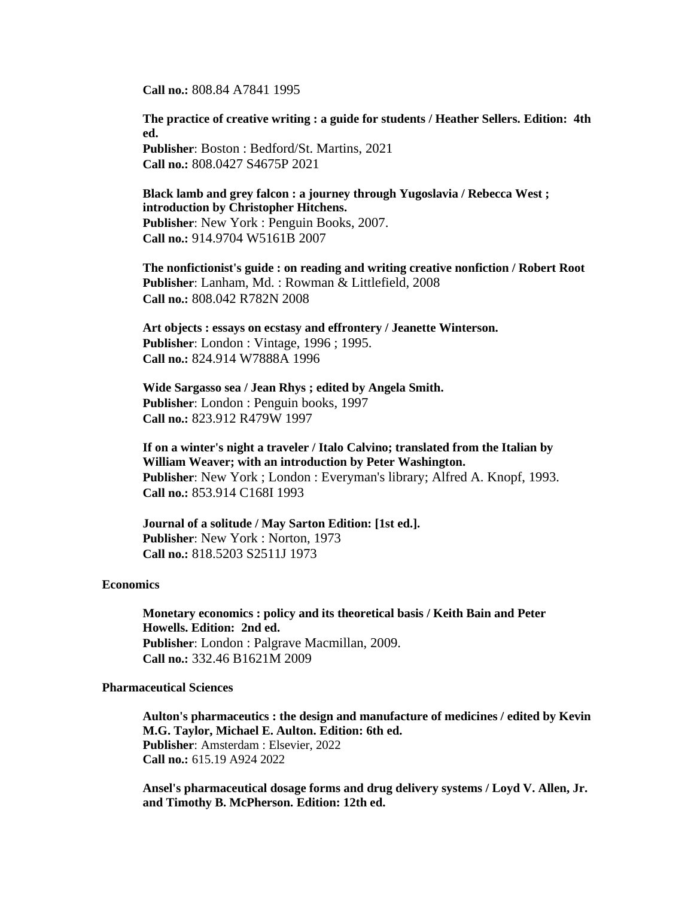**Call no.:** 808.84 A7841 1995

**The practice of creative writing : a guide for students / Heather Sellers. Edition: 4th ed. Publisher**: Boston : Bedford/St. Martins, 2021

**Call no.:** 808.0427 S4675P 2021

**Black lamb and grey falcon : a journey through Yugoslavia / Rebecca West ; introduction by Christopher Hitchens. Publisher**: New York : Penguin Books, 2007. **Call no.:** 914.9704 W5161B 2007

**The nonfictionist's guide : on reading and writing creative nonfiction / Robert Root Publisher**: Lanham, Md. : Rowman & Littlefield, 2008 **Call no.:** 808.042 R782N 2008

**Art objects : essays on ecstasy and effrontery / Jeanette Winterson. Publisher**: London : Vintage, 1996 ; 1995. **Call no.:** 824.914 W7888A 1996

**Wide Sargasso sea / Jean Rhys ; edited by Angela Smith. Publisher**: London : Penguin books, 1997 **Call no.:** 823.912 R479W 1997

**If on a winter's night a traveler / Italo Calvino; translated from the Italian by William Weaver; with an introduction by Peter Washington. Publisher**: New York ; London : Everyman's library; Alfred A. Knopf, 1993. **Call no.:** 853.914 C168I 1993

**Journal of a solitude / May Sarton Edition: [1st ed.]. Publisher**: New York : Norton, 1973 **Call no.:** 818.5203 S2511J 1973

## **Economics**

**Monetary economics : policy and its theoretical basis / Keith Bain and Peter Howells. Edition: 2nd ed. Publisher**: London : Palgrave Macmillan, 2009. **Call no.:** 332.46 B1621M 2009

## **Pharmaceutical Sciences**

**Aulton's pharmaceutics : the design and manufacture of medicines / edited by Kevin M.G. Taylor, Michael E. Aulton. Edition: 6th ed. Publisher**: Amsterdam : Elsevier, 2022 **Call no.:** 615.19 A924 2022

**Ansel's pharmaceutical dosage forms and drug delivery systems / Loyd V. Allen, Jr. and Timothy B. McPherson. Edition: 12th ed.**